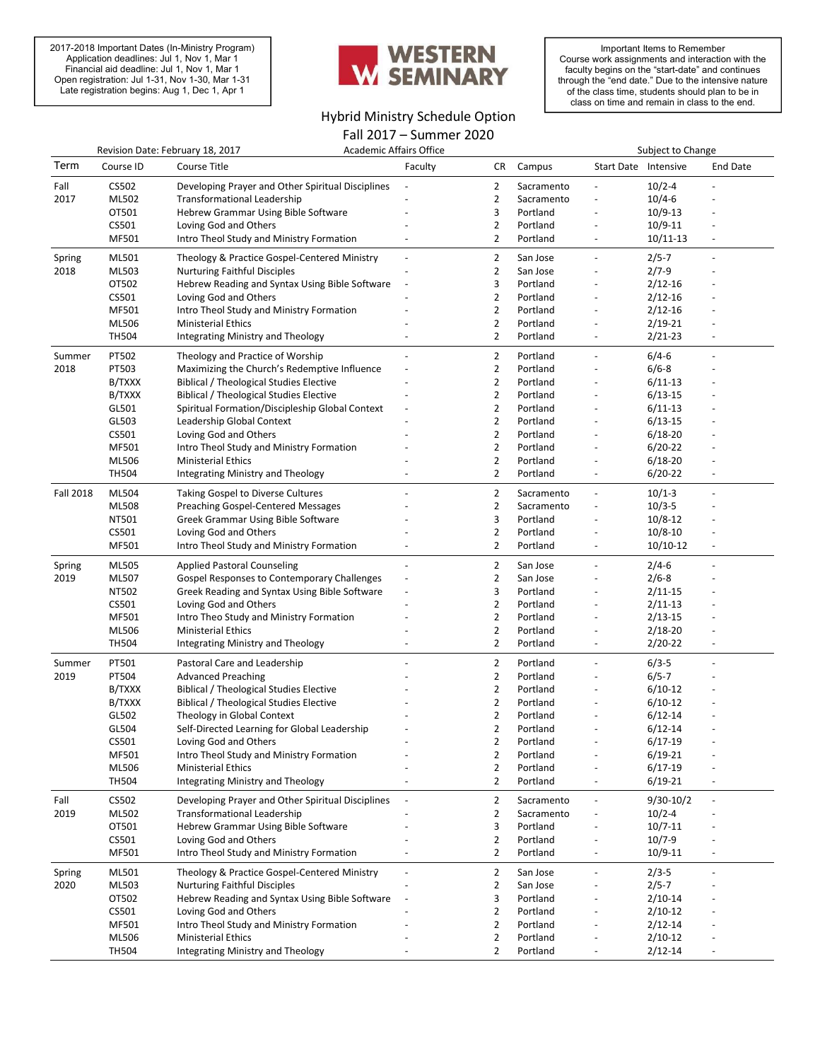2017-2018 Important Dates (In-Ministry Program) Application deadlines: Jul 1, Nov 1, Mar 1 Financial aid deadline: Jul 1, Nov 1, Mar 1 Open registration: Jul 1-31, Nov 1-30, Mar 1-31 Late registration begins: Aug 1, Dec 1, Apr 1



## Hybrid Ministry Schedule Option

Fall 2017 – Summer 2020

Important Items to Remember Course work assignments and interaction with the faculty begins on the "start-date" and continues through the "end date." Due to the intensive nature of the class time, students should plan to be in class on time and remain in class to the end.

| Revision Date: February 18, 2017 |              |                                                   | Academic Affairs Office |                |            | Subject to Change        |             |                          |
|----------------------------------|--------------|---------------------------------------------------|-------------------------|----------------|------------|--------------------------|-------------|--------------------------|
| Term                             | Course ID    | Course Title                                      | Faculty                 | CR             | Campus     | Start Date Intensive     |             | <b>End Date</b>          |
| Fall                             | CS502        | Developing Prayer and Other Spiritual Disciplines |                         | $\overline{2}$ | Sacramento |                          | $10/2 - 4$  |                          |
| 2017                             | ML502        | <b>Transformational Leadership</b>                |                         | $\overline{2}$ | Sacramento | $\overline{\phantom{a}}$ | $10/4 - 6$  |                          |
|                                  | OT501        | Hebrew Grammar Using Bible Software               |                         | 3              | Portland   |                          | $10/9-13$   |                          |
|                                  | CS501        | Loving God and Others                             |                         | $\overline{2}$ | Portland   |                          | 10/9-11     |                          |
|                                  | MF501        | Intro Theol Study and Ministry Formation          |                         | $\overline{2}$ | Portland   | $\overline{\phantom{a}}$ | 10/11-13    | $\overline{\phantom{a}}$ |
| Spring                           | ML501        | Theology & Practice Gospel-Centered Ministry      |                         | $\overline{2}$ | San Jose   | $\overline{\phantom{a}}$ | $2/5 - 7$   | $\overline{a}$           |
| 2018                             | ML503        | <b>Nurturing Faithful Disciples</b>               |                         | $\overline{2}$ | San Jose   |                          | $2/7 - 9$   |                          |
|                                  | OT502        | Hebrew Reading and Syntax Using Bible Software    |                         | 3              | Portland   |                          | $2/12 - 16$ |                          |
|                                  | CS501        | Loving God and Others                             |                         | $\overline{2}$ | Portland   |                          | $2/12 - 16$ |                          |
|                                  | MF501        | Intro Theol Study and Ministry Formation          |                         | $\overline{2}$ | Portland   | $\overline{\phantom{a}}$ | $2/12 - 16$ |                          |
|                                  | ML506        | <b>Ministerial Ethics</b>                         |                         | $\overline{2}$ | Portland   |                          | $2/19 - 21$ |                          |
|                                  | <b>TH504</b> | Integrating Ministry and Theology                 |                         | $\overline{2}$ | Portland   | $\overline{\phantom{a}}$ | 2/21-23     |                          |
| Summer                           | PT502        | Theology and Practice of Worship                  |                         | $\overline{2}$ | Portland   | $\blacksquare$           | $6/4 - 6$   | $\overline{a}$           |
| 2018                             | PT503        | Maximizing the Church's Redemptive Influence      |                         | $\overline{2}$ | Portland   |                          | $6/6 - 8$   |                          |
|                                  | B/TXXX       | <b>Biblical / Theological Studies Elective</b>    |                         | $\overline{2}$ | Portland   |                          | 6/11-13     |                          |
|                                  | B/TXXX       | <b>Biblical / Theological Studies Elective</b>    |                         | $\overline{2}$ | Portland   |                          | $6/13-15$   |                          |
|                                  | GL501        | Spiritual Formation/Discipleship Global Context   |                         | $\overline{2}$ | Portland   |                          | $6/11-13$   |                          |
|                                  | GL503        | Leadership Global Context                         |                         | 2              | Portland   |                          | $6/13-15$   |                          |
|                                  | CS501        | Loving God and Others                             |                         | $\overline{2}$ | Portland   |                          | $6/18 - 20$ |                          |
|                                  | MF501        | Intro Theol Study and Ministry Formation          |                         | $\overline{2}$ | Portland   | $\overline{\phantom{a}}$ | $6/20-22$   |                          |
|                                  | ML506        | <b>Ministerial Ethics</b>                         |                         | $\overline{2}$ | Portland   |                          | 6/18-20     |                          |
|                                  | <b>TH504</b> | Integrating Ministry and Theology                 |                         | $\overline{2}$ | Portland   | $\overline{\phantom{a}}$ | $6/20-22$   | $\overline{\phantom{a}}$ |
| <b>Fall 2018</b>                 | ML504        | <b>Taking Gospel to Diverse Cultures</b>          |                         | $\overline{2}$ | Sacramento | $\overline{\phantom{a}}$ | $10/1-3$    |                          |
|                                  | ML508        | Preaching Gospel-Centered Messages                |                         | $\overline{2}$ | Sacramento | $\overline{\phantom{a}}$ | $10/3 - 5$  |                          |
|                                  | NT501        | Greek Grammar Using Bible Software                |                         | 3              | Portland   | $\overline{\phantom{a}}$ | $10/8 - 12$ |                          |
|                                  | CS501        | Loving God and Others                             |                         | $\overline{2}$ | Portland   |                          | $10/8 - 10$ |                          |
|                                  | MF501        | Intro Theol Study and Ministry Formation          |                         | $\overline{2}$ | Portland   | $\overline{\phantom{a}}$ | 10/10-12    | $\overline{\phantom{a}}$ |
| Spring                           | ML505        | <b>Applied Pastoral Counseling</b>                |                         | $\overline{2}$ | San Jose   | $\overline{\phantom{a}}$ | $2/4 - 6$   |                          |
| 2019                             | ML507        | Gospel Responses to Contemporary Challenges       |                         | $\overline{2}$ | San Jose   |                          | $2/6 - 8$   |                          |
|                                  | NT502        | Greek Reading and Syntax Using Bible Software     |                         | 3              | Portland   |                          | $2/11-15$   |                          |
|                                  | CS501        | Loving God and Others                             |                         | $\overline{2}$ | Portland   |                          | $2/11-13$   |                          |
|                                  | MF501        | Intro Theo Study and Ministry Formation           |                         | $\overline{2}$ | Portland   |                          | $2/13 - 15$ |                          |
|                                  | ML506        | <b>Ministerial Ethics</b>                         |                         | 2              | Portland   | $\overline{\phantom{a}}$ | 2/18-20     |                          |
|                                  | <b>TH504</b> | Integrating Ministry and Theology                 |                         | $\overline{2}$ | Portland   | $\blacksquare$           | $2/20 - 22$ |                          |
| Summer                           | PT501        | Pastoral Care and Leadership                      |                         | $\overline{2}$ | Portland   | $\overline{\phantom{a}}$ | $6/3-5$     |                          |
| 2019                             | PT504        | <b>Advanced Preaching</b>                         |                         | $\overline{2}$ | Portland   |                          | $6/5 - 7$   |                          |
|                                  | B/TXXX       | <b>Biblical / Theological Studies Elective</b>    |                         | $\overline{2}$ | Portland   |                          | $6/10-12$   |                          |
|                                  | B/TXXX       | Biblical / Theological Studies Elective           |                         | $\overline{2}$ | Portland   |                          | 6/10-12     |                          |
|                                  | GL502        | Theology in Global Context                        |                         | $\overline{2}$ | Portland   |                          | $6/12 - 14$ |                          |
|                                  | GL504        | Self-Directed Learning for Global Leadership      |                         | $\overline{2}$ | Portland   | $\overline{\phantom{a}}$ | $6/12 - 14$ |                          |
|                                  | CS501        | Loving God and Others                             |                         | 2              | Portland   |                          | 6/17-19     |                          |
|                                  | MF501        | Intro Theol Study and Ministry Formation          |                         | $\overline{2}$ | Portland   |                          | 6/19-21     |                          |
|                                  | ML506        | <b>Ministerial Ethics</b>                         |                         | 2              | Portland   |                          | $6/17-19$   |                          |
|                                  | <b>TH504</b> | Integrating Ministry and Theology                 |                         | $\overline{2}$ | Portland   |                          | $6/19 - 21$ |                          |
| Fall                             | CS502        | Developing Prayer and Other Spiritual Disciplines |                         | $\overline{2}$ | Sacramento | $\overline{\phantom{a}}$ | 9/30-10/2   | $\overline{\phantom{a}}$ |
| 2019                             | ML502        | <b>Transformational Leadership</b>                |                         | $\overline{2}$ | Sacramento |                          | $10/2 - 4$  |                          |
|                                  | OT501        | Hebrew Grammar Using Bible Software               |                         | 3              | Portland   |                          | $10/7 - 11$ |                          |
|                                  | CS501        | Loving God and Others                             |                         | 2              | Portland   |                          | 10/7-9      |                          |
|                                  | MF501        | Intro Theol Study and Ministry Formation          |                         | $\overline{2}$ | Portland   |                          | 10/9-11     |                          |
| Spring                           | ML501        | Theology & Practice Gospel-Centered Ministry      |                         | $\overline{2}$ | San Jose   | $\overline{\phantom{a}}$ | $2/3 - 5$   | $\overline{\phantom{a}}$ |
| 2020                             | ML503        | <b>Nurturing Faithful Disciples</b>               |                         | $\overline{2}$ | San Jose   |                          | $2/5 - 7$   |                          |
|                                  | OT502        | Hebrew Reading and Syntax Using Bible Software    |                         | 3              | Portland   |                          | $2/10-14$   |                          |
|                                  | CS501        | Loving God and Others                             |                         | 2              | Portland   |                          | 2/10-12     |                          |
|                                  | MF501        | Intro Theol Study and Ministry Formation          |                         | $\overline{2}$ | Portland   |                          | $2/12 - 14$ |                          |
|                                  | ML506        | <b>Ministerial Ethics</b>                         |                         | $\overline{2}$ | Portland   |                          | $2/10-12$   |                          |
|                                  | <b>TH504</b> | Integrating Ministry and Theology                 |                         | $\overline{2}$ | Portland   |                          | $2/12 - 14$ |                          |